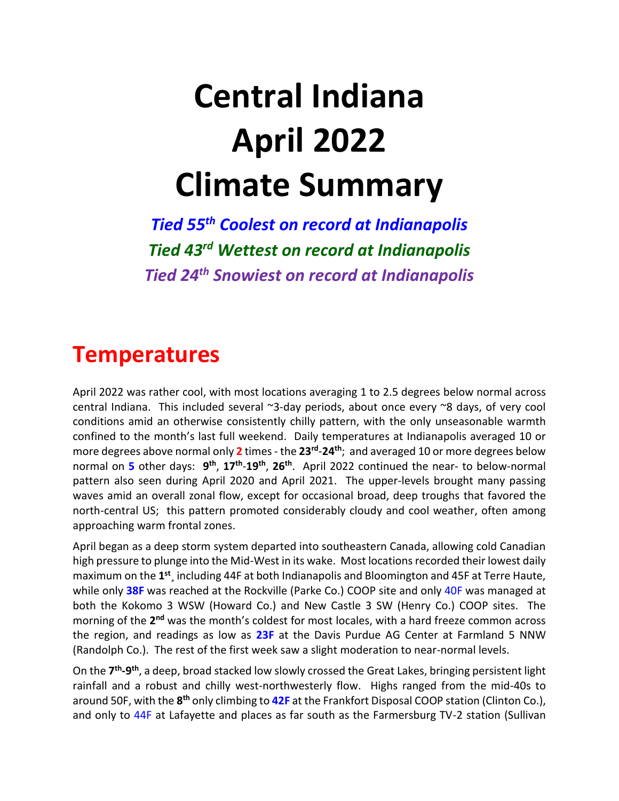# **Central Indiana April 2022 Climate Summary**

*Tied 55th Coolest on record at Indianapolis Tied 43 rd Wettest on record at Indianapolis Tied 24 th Snowiest on record at Indianapolis*

### **Temperatures**

April 2022 was rather cool, with most locations averaging 1 to 2.5 degrees below normal across central Indiana. This included several ~3-day periods, about once every ~8 days, of very cool conditions amid an otherwise consistently chilly pattern, with the only unseasonable warmth confined to the month's last full weekend. Daily temperatures at Indianapolis averaged 10 or more degrees above normal only **2** times - the **23rd** -**24th**; and averaged 10 or more degrees below normal on 5 other days:  $9<sup>th</sup>$ ,  $17<sup>th</sup>$ -19<sup>th</sup>, 26<sup>th</sup>. April 2022 continued the near- to below-normal pattern also seen during April 2020 and April 2021. The upper-levels brought many passing waves amid an overall zonal flow, except for occasional broad, deep troughs that favored the north-central US; this pattern promoted considerably cloudy and cool weather, often among approaching warm frontal zones.

April began as a deep storm system departed into southeastern Canada, allowing cold Canadian high pressure to plunge into the Mid-West in its wake. Most locations recorded their lowest daily maximum on the 1<sup>st</sup>, including 44F at both Indianapolis and Bloomington and 45F at Terre Haute, while only **38F** was reached at the Rockville (Parke Co.) COOP site and only 40F was managed at both the Kokomo 3 WSW (Howard Co.) and New Castle 3 SW (Henry Co.) COOP sites. The morning of the 2<sup>nd</sup> was the month's coldest for most locales, with a hard freeze common across the region, and readings as low as **23F** at the Davis Purdue AG Center at Farmland 5 NNW (Randolph Co.). The rest of the first week saw a slight moderation to near-normal levels.

On the **7 th -9 th**, a deep, broad stacked low slowly crossed the Great Lakes, bringing persistent light rainfall and a robust and chilly west-northwesterly flow. Highs ranged from the mid-40s to around 50F, with the **8 th** only climbing to **42F** at the Frankfort Disposal COOP station (Clinton Co.), and only to 44F at Lafayette and places as far south as the Farmersburg TV-2 station (Sullivan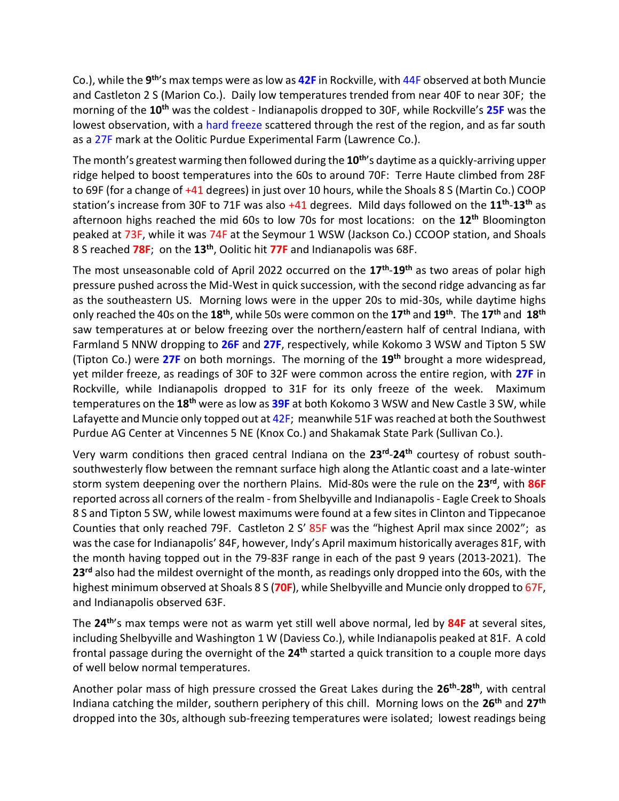Co.), while the 9<sup>th</sup>'s max temps were as low as 42F in Rockville, with 44F observed at both Muncie and Castleton 2 S (Marion Co.). Daily low temperatures trended from near 40F to near 30F; the morning of the **10th** was the coldest - Indianapolis dropped to 30F, while Rockville's **25F** was the lowest observation, with a hard freeze scattered through the rest of the region, and as far south as a 27F mark at the Oolitic Purdue Experimental Farm (Lawrence Co.).

The month's greatest warming then followed during the **10th**'s daytime as a quickly-arriving upper ridge helped to boost temperatures into the 60s to around 70F: Terre Haute climbed from 28F to 69F (for a change of +41 degrees) in just over 10 hours, while the Shoals 8 S (Martin Co.) COOP station's increase from 30F to 71F was also +41 degrees. Mild days followed on the **11th** -**13th** as afternoon highs reached the mid 60s to low 70s for most locations: on the **12th** Bloomington peaked at 73F, while it was 74F at the Seymour 1 WSW (Jackson Co.) CCOOP station, and Shoals 8 S reached **78F**; on the **13th**, Oolitic hit **77F** and Indianapolis was 68F.

The most unseasonable cold of April 2022 occurred on the **17th** -**19th** as two areas of polar high pressure pushed across the Mid-West in quick succession, with the second ridge advancing as far as the southeastern US. Morning lows were in the upper 20s to mid-30s, while daytime highs only reached the 40s on the **18th**, while 50s were common on the **17th** and **19th** . The **17th** and **18th** saw temperatures at or below freezing over the northern/eastern half of central Indiana, with Farmland 5 NNW dropping to **26F** and **27F**, respectively, while Kokomo 3 WSW and Tipton 5 SW (Tipton Co.) were **27F** on both mornings. The morning of the **19th** brought a more widespread, yet milder freeze, as readings of 30F to 32F were common across the entire region, with **27F** in Rockville, while Indianapolis dropped to 31F for its only freeze of the week. Maximum temperatures on the **18th** were as low as **39F** at both Kokomo 3 WSW and New Castle 3 SW, while Lafayette and Muncie only topped out at 42F; meanwhile 51F was reached at both the Southwest Purdue AG Center at Vincennes 5 NE (Knox Co.) and Shakamak State Park (Sullivan Co.).

Very warm conditions then graced central Indiana on the **23rd** -**24th** courtesy of robust southsouthwesterly flow between the remnant surface high along the Atlantic coast and a late-winter storm system deepening over the northern Plains. Mid-80s were the rule on the **23rd**, with **86F** reported across all corners of the realm - from Shelbyville and Indianapolis - Eagle Creek to Shoals 8 S and Tipton 5 SW, while lowest maximums were found at a few sites in Clinton and Tippecanoe Counties that only reached 79F. Castleton 2 S' 85F was the "highest April max since 2002"; as was the case for Indianapolis' 84F, however, Indy's April maximum historically averages 81F, with the month having topped out in the 79-83F range in each of the past 9 years (2013-2021). The **23rd** also had the mildest overnight of the month, as readings only dropped into the 60s, with the highest minimum observed at Shoals 8 S (**70F**), while Shelbyville and Muncie only dropped to 67F, and Indianapolis observed 63F.

The **24th**'s max temps were not as warm yet still well above normal, led by **84F** at several sites, including Shelbyville and Washington 1 W (Daviess Co.), while Indianapolis peaked at 81F. A cold frontal passage during the overnight of the **24th** started a quick transition to a couple more days of well below normal temperatures.

Another polar mass of high pressure crossed the Great Lakes during the **26th** -**28th**, with central Indiana catching the milder, southern periphery of this chill. Morning lows on the **26th** and **27th** dropped into the 30s, although sub-freezing temperatures were isolated; lowest readings being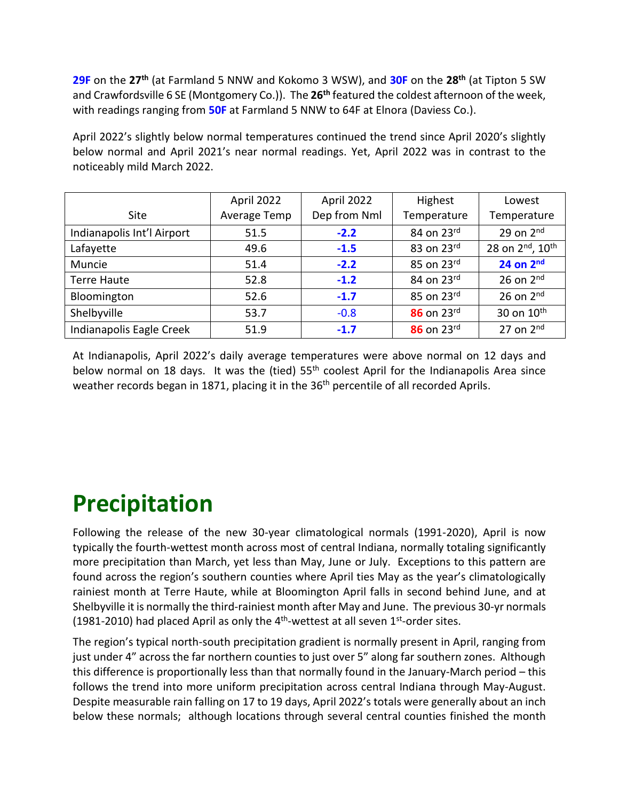**29F** on the **27th** (at Farmland 5 NNW and Kokomo 3 WSW), and **30F** on the **28th** (at Tipton 5 SW and Crawfordsville 6 SE (Montgomery Co.)). The **26th** featured the coldest afternoon of the week, with readings ranging from **50F** at Farmland 5 NNW to 64F at Elnora (Daviess Co.).

April 2022's slightly below normal temperatures continued the trend since April 2020's slightly below normal and April 2021's near normal readings. Yet, April 2022 was in contrast to the noticeably mild March 2022.

|                            | April 2022   | April 2022   | Highest                    | Lowest                                   |
|----------------------------|--------------|--------------|----------------------------|------------------------------------------|
| Site                       | Average Temp | Dep from Nml | Temperature                | Temperature                              |
| Indianapolis Int'l Airport | 51.5         | $-2.2$       | 84 on 23rd                 | 29 on $2nd$                              |
| Lafayette                  | 49.6         | $-1.5$       | 83 on 23rd                 | 28 on 2 <sup>nd</sup> , 10 <sup>th</sup> |
| Muncie                     | 51.4         | $-2.2$       | 85 on $23^{\text{rd}}$     | $24$ on $2nd$                            |
| <b>Terre Haute</b>         | 52.8         | $-1.2$       | 84 on $23^{\text{rd}}$     | 26 on $2nd$                              |
| Bloomington                | 52.6         | $-1.7$       | 85 on $23^{\text{rd}}$     | 26 on $2nd$                              |
| Shelbyville                | 53.7         | $-0.8$       | $86$ on $23$ <sup>rd</sup> | 30 on 10 <sup>th</sup>                   |
| Indianapolis Eagle Creek   | 51.9         | $-1.7$       | 86 on 23rd                 | 27 on $2nd$                              |

At Indianapolis, April 2022's daily average temperatures were above normal on 12 days and below normal on 18 days. It was the (tied)  $55<sup>th</sup>$  coolest April for the Indianapolis Area since weather records began in 1871, placing it in the 36<sup>th</sup> percentile of all recorded Aprils.

# **Precipitation**

Following the release of the new 30-year climatological normals (1991-2020), April is now typically the fourth-wettest month across most of central Indiana, normally totaling significantly more precipitation than March, yet less than May, June or July. Exceptions to this pattern are found across the region's southern counties where April ties May as the year's climatologically rainiest month at Terre Haute, while at Bloomington April falls in second behind June, and at Shelbyville it is normally the third-rainiest month after May and June. The previous 30-yr normals (1981-2010) had placed April as only the  $4<sup>th</sup>$ -wettest at all seven  $1<sup>st</sup>$ -order sites.

The region's typical north-south precipitation gradient is normally present in April, ranging from just under 4" across the far northern counties to just over 5" along far southern zones. Although this difference is proportionally less than that normally found in the January-March period – this follows the trend into more uniform precipitation across central Indiana through May-August. Despite measurable rain falling on 17 to 19 days, April 2022's totals were generally about an inch below these normals; although locations through several central counties finished the month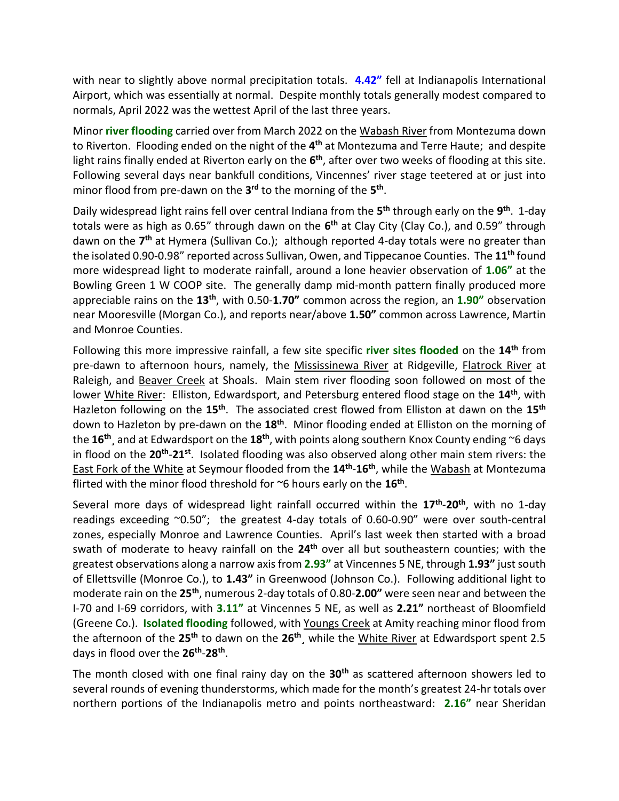with near to slightly above normal precipitation totals. **4.42"** fell at Indianapolis International Airport, which was essentially at normal. Despite monthly totals generally modest compared to normals, April 2022 was the wettest April of the last three years.

Minor **river flooding** carried over from March 2022 on the Wabash River from Montezuma down to Riverton. Flooding ended on the night of the **4 th** at Montezuma and Terre Haute; and despite light rains finally ended at Riverton early on the 6<sup>th</sup>, after over two weeks of flooding at this site. Following several days near bankfull conditions, Vincennes' river stage teetered at or just into minor flood from pre-dawn on the **3 rd** to the morning of the **5 th** .

Daily widespread light rains fell over central Indiana from the **5 th** through early on the **9 th** . 1-day totals were as high as 0.65" through dawn on the **6 th** at Clay City (Clay Co.), and 0.59" through dawn on the 7<sup>th</sup> at Hymera (Sullivan Co.); although reported 4-day totals were no greater than the isolated 0.90-0.98" reported across Sullivan, Owen, and Tippecanoe Counties. The **11th** found more widespread light to moderate rainfall, around a lone heavier observation of **1.06"** at the Bowling Green 1 W COOP site. The generally damp mid-month pattern finally produced more appreciable rains on the **13th**, with 0.50-**1.70"** common across the region, an **1.90"** observation near Mooresville (Morgan Co.), and reports near/above **1.50"** common across Lawrence, Martin and Monroe Counties.

Following this more impressive rainfall, a few site specific **river sites flooded** on the **14th** from pre-dawn to afternoon hours, namely, the Mississinewa River at Ridgeville, Flatrock River at Raleigh, and Beaver Creek at Shoals. Main stem river flooding soon followed on most of the lower White River: Elliston, Edwardsport, and Petersburg entered flood stage on the **14th**, with Hazleton following on the **15th**. The associated crest flowed from Elliston at dawn on the **15th** down to Hazleton by pre-dawn on the **18th**. Minor flooding ended at Elliston on the morning of the **16th** ¸ and at Edwardsport on the **18th**, with points along southern Knox County ending ~6 days in flood on the **20th** -**21st**. Isolated flooding was also observed along other main stem rivers: the East Fork of the White at Seymour flooded from the **14th** -**16th**, while the Wabash at Montezuma flirted with the minor flood threshold for ~6 hours early on the **16th** .

Several more days of widespread light rainfall occurred within the **17th** -**20th**, with no 1-day readings exceeding ~0.50"; the greatest 4-day totals of 0.60-0.90" were over south-central zones, especially Monroe and Lawrence Counties. April's last week then started with a broad swath of moderate to heavy rainfall on the **24th** over all but southeastern counties; with the greatest observations along a narrow axis from **2.93"** at Vincennes 5 NE, through **1.93"** just south of Ellettsville (Monroe Co.), to **1.43"** in Greenwood (Johnson Co.). Following additional light to moderate rain on the 25<sup>th</sup>, numerous 2-day totals of 0.80-2.00" were seen near and between the I-70 and I-69 corridors, with **3.11"** at Vincennes 5 NE, as well as **2.21"** northeast of Bloomfield (Greene Co.). **Isolated flooding** followed, with Youngs Creek at Amity reaching minor flood from the afternoon of the **25th** to dawn on the **26th**¸ while the White River at Edwardsport spent 2.5 days in flood over the **26th** -**28th** .

The month closed with one final rainy day on the **30th** as scattered afternoon showers led to several rounds of evening thunderstorms, which made for the month's greatest 24-hr totals over northern portions of the Indianapolis metro and points northeastward: **2.16"** near Sheridan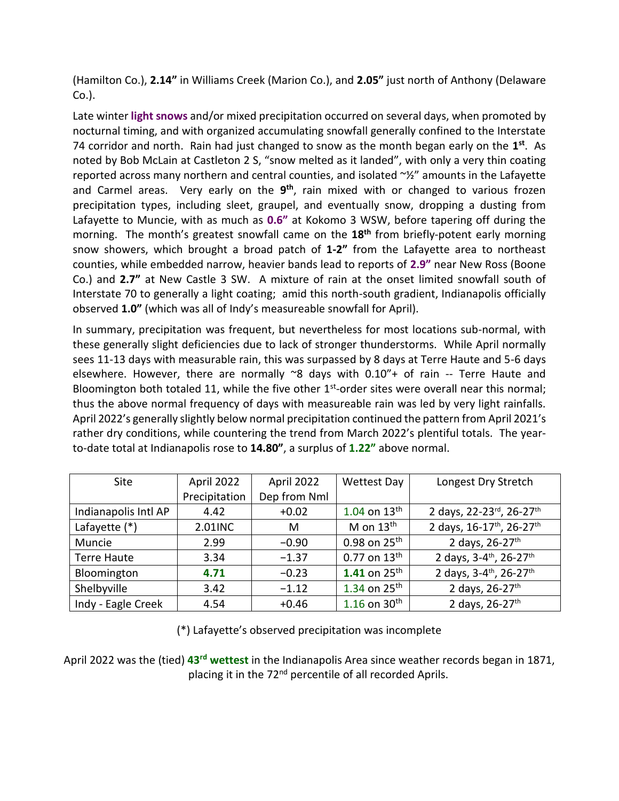(Hamilton Co.), **2.14"** in Williams Creek (Marion Co.), and **2.05"** just north of Anthony (Delaware Co.).

Late winter **light snows** and/or mixed precipitation occurred on several days, when promoted by nocturnal timing, and with organized accumulating snowfall generally confined to the Interstate 74 corridor and north. Rain had just changed to snow as the month began early on the **1 st**. As noted by Bob McLain at Castleton 2 S, "snow melted as it landed", with only a very thin coating reported across many northern and central counties, and isolated ~½" amounts in the Lafayette and Carmel areas. Very early on the **9 th**, rain mixed with or changed to various frozen precipitation types, including sleet, graupel, and eventually snow, dropping a dusting from Lafayette to Muncie, with as much as **0.6"** at Kokomo 3 WSW, before tapering off during the morning. The month's greatest snowfall came on the **18th** from briefly-potent early morning snow showers, which brought a broad patch of **1-2"** from the Lafayette area to northeast counties, while embedded narrow, heavier bands lead to reports of **2.9"** near New Ross (Boone Co.) and **2.7"** at New Castle 3 SW. A mixture of rain at the onset limited snowfall south of Interstate 70 to generally a light coating; amid this north-south gradient, Indianapolis officially observed **1.0"** (which was all of Indy's measureable snowfall for April).

In summary, precipitation was frequent, but nevertheless for most locations sub-normal, with these generally slight deficiencies due to lack of stronger thunderstorms. While April normally sees 11-13 days with measurable rain, this was surpassed by 8 days at Terre Haute and 5-6 days elsewhere. However, there are normally  $\approx$ 8 days with 0.10"+ of rain -- Terre Haute and Bloomington both totaled 11, while the five other 1<sup>st</sup>-order sites were overall near this normal; thus the above normal frequency of days with measureable rain was led by very light rainfalls. April 2022's generally slightly below normal precipitation continued the pattern from April 2021's rather dry conditions, while countering the trend from March 2022's plentiful totals. The yearto-date total at Indianapolis rose to **14.80"**, a surplus of **1.22"** above normal.

| Site                 | April 2022    | April 2022   | <b>Wettest Day</b>         | Longest Dry Stretch                             |
|----------------------|---------------|--------------|----------------------------|-------------------------------------------------|
|                      | Precipitation | Dep from Nml |                            |                                                 |
| Indianapolis Intl AP | 4.42          | $+0.02$      | $1.04$ on $13^{\text{th}}$ | 2 days, 22-23rd, 26-27th                        |
| Lafayette (*)        | 2.01INC       | M            | M on $13th$                | 2 days, 16-17th, 26-27th                        |
| Muncie               | 2.99          | $-0.90$      | 0.98 on $25^{th}$          | 2 days, 26-27th                                 |
| <b>Terre Haute</b>   | 3.34          | $-1.37$      | $0.77$ on $13^{th}$        | 2 days, 3-4 <sup>th</sup> , 26-27 <sup>th</sup> |
| Bloomington          | 4.71          | $-0.23$      | 1.41 on $25^{th}$          | 2 days, 3-4th, 26-27th                          |
| Shelbyville          | 3.42          | $-1.12$      | 1.34 on $25^{th}$          | 2 days, 26-27th                                 |
| Indy - Eagle Creek   | 4.54          | $+0.46$      | 1.16 on $30^{th}$          | 2 days, 26-27th                                 |

(\*) Lafayette's observed precipitation was incomplete

April 2022 was the (tied) 43<sup>rd</sup> wettest in the Indianapolis Area since weather records began in 1871, placing it in the 72<sup>nd</sup> percentile of all recorded Aprils.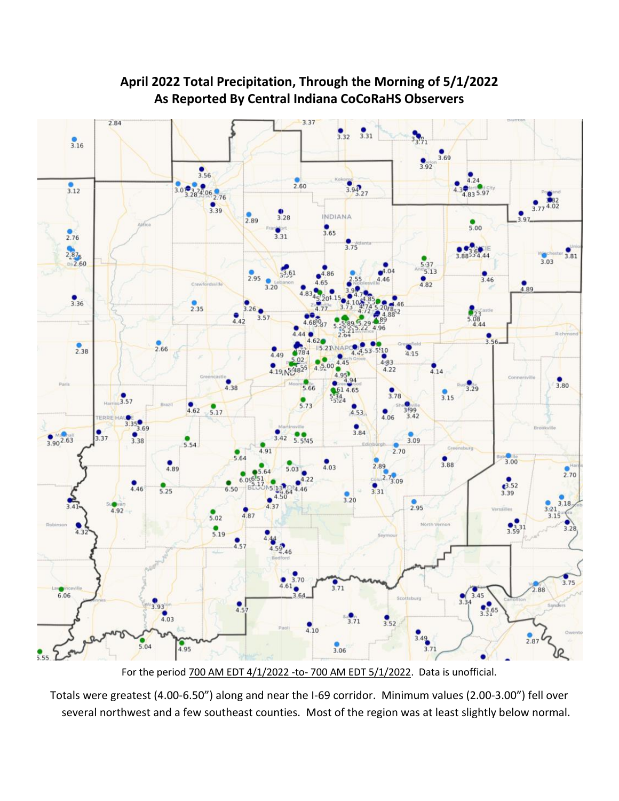

#### **April 2022 Total Precipitation, Through the Morning of 5/1/2022 As Reported By Central Indiana CoCoRaHS Observers**

For the period 700 AM EDT 4/1/2022 -to- 700 AM EDT 5/1/2022. Data is unofficial.

Totals were greatest (4.00-6.50") along and near the I-69 corridor. Minimum values (2.00-3.00") fell over several northwest and a few southeast counties. Most of the region was at least slightly below normal.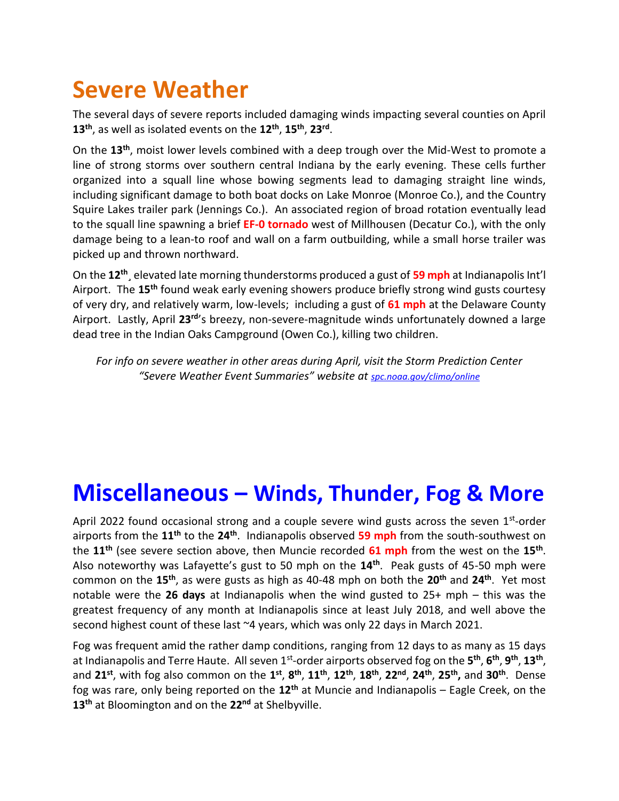### **Severe Weather**

The several days of severe reports included damaging winds impacting several counties on April **13th**, as well as isolated events on the **12th** , **15th** , **23rd** .

On the **13th** , moist lower levels combined with a deep trough over the Mid-West to promote a line of strong storms over southern central Indiana by the early evening. These cells further organized into a squall line whose bowing segments lead to damaging straight line winds, including significant damage to both boat docks on Lake Monroe (Monroe Co.), and the Country Squire Lakes trailer park (Jennings Co.). An associated region of broad rotation eventually lead to the squall line spawning a brief **EF-0 tornado** west of Millhousen (Decatur Co.), with the only damage being to a lean-to roof and wall on a farm outbuilding, while a small horse trailer was picked up and thrown northward.

On the **12th**¸ elevated late morning thunderstorms produced a gust of **59 mph** at Indianapolis Int'l Airport. The **15th** found weak early evening showers produce briefly strong wind gusts courtesy of very dry, and relatively warm, low-levels; including a gust of **61 mph** at the Delaware County Airport. Lastly, April **23rd**'s breezy, non-severe-magnitude winds unfortunately downed a large dead tree in the Indian Oaks Campground (Owen Co.), killing two children.

*For info on severe weather in other areas during April, visit the Storm Prediction Center "Severe Weather Event Summaries" website at [spc.noaa.gov/climo/online](file://///IND-S-FILESVR/SavedFiles/Climate/Press%20Releases%20and%20News%20Stories/spc.noaa.gov/climo/online)*

### **Miscellaneous – Winds, Thunder, Fog & More**

April 2022 found occasional strong and a couple severe wind gusts across the seven 1<sup>st</sup>-order airports from the **11th** to the **24th**. Indianapolis observed **59 mph** from the south-southwest on the **11th** (see severe section above, then Muncie recorded **61 mph** from the west on the **15th** . Also noteworthy was Lafayette's gust to 50 mph on the **14th**. Peak gusts of 45-50 mph were common on the **15th**, as were gusts as high as 40-48 mph on both the **20th** and **24th** . Yet most notable were the **26 days** at Indianapolis when the wind gusted to 25+ mph – this was the greatest frequency of any month at Indianapolis since at least July 2018, and well above the second highest count of these last ~4 years, which was only 22 days in March 2021.

Fog was frequent amid the rather damp conditions, ranging from 12 days to as many as 15 days at Indianapolis and Terre Haute. All seven 1<sup>st</sup>-order airports observed fog on the 5<sup>th</sup>, 6<sup>th</sup>, 9<sup>th</sup>, 13<sup>th</sup>, and 21<sup>st</sup>, with fog also common on the 1<sup>st</sup>, 8<sup>th</sup>, 11<sup>th</sup>, 12<sup>th</sup>, 18<sup>th</sup>, 22<sup>nd</sup>, 24<sup>th</sup>, 25<sup>th</sup>, and 30<sup>th</sup>. Dense fog was rare, only being reported on the **12th** at Muncie and Indianapolis – Eagle Creek, on the **13th** at Bloomington and on the **22nd** at Shelbyville.